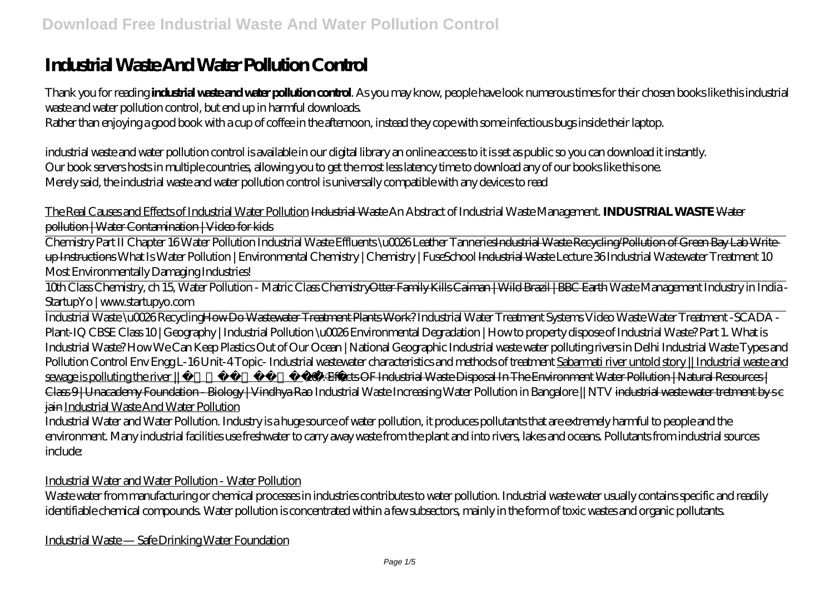# **Industrial Waste And Water Pollution Control**

Thank you for reading **industrial waste and water pollution control**. As you may know, people have look numerous times for their chosen books like this industrial waste and water pollution control, but end up in harmful downloads.

Rather than enjoying a good book with a cup of coffee in the afternoon, instead they cope with some infectious bugs inside their laptop.

industrial waste and water pollution control is available in our digital library an online access to it is set as public so you can download it instantly. Our book servers hosts in multiple countries, allowing you to get the most less latency time to download any of our books like this one. Merely said, the industrial waste and water pollution control is universally compatible with any devices to read

The Real Causes and Effects of Industrial Water Pollution Industrial Waste *An Abstract of Industrial Waste Management.* **INDUSTRIAL WASTE** Water pollution | Water Contamination | Video for kids

Chemistry Part II Chapter 16 Water Pollution Industrial Waste Effluents \u0026 Leather TanneriesIndustrial Waste Recycling/Pollution of Green Bay Lab Writeup Instructions *What Is Water Pollution | Environmental Chemistry | Chemistry | FuseSchool* Industrial Waste *Lecture 36 Industrial Wastewater Treatment* 10 Most Environmentally Damaging Industries!

10th Class Chemistry, ch 15, Water Pollution - Matric Class ChemistryOtter Family Kills Caiman | Wild Brazil | BBC Earth *Waste Management Industry in India - StartupYo | www.startupyo.com*

Industrial Waste \u0026 RecyclingHow Do Wastewater Treatment Plants Work? *Industrial Water Treatment Systems Video Waste Water Treatment -SCADA - Plant-IQ CBSE Class 10 | Geography | Industrial Pollution \u0026 Environmental Degradation |* How to property dispose of Industrial Waste? Part 1. What is Industrial Waste? How We Can Keep Plastics Out of Our Ocean | National Geographic *Industrial waste water polluting rivers in Delhi Industrial Waste Types and Pollution Control* Env Engg L-16 Unit-4 Topic- Industrial wastewater characteristics and methods of treatment Sabarmati river untold story || Industrial waste and sewage is polluting the river || साबरमती नदी 107. Effects OF Industrial Waste Disposal In The Environment Water Pollution | Natural Resources | Class 9 | Unacademy Foundation - Biology | Vindhya Rao Industrial Waste Increasing Water Pollution in Bangalore || NTV i<del>ndustrial waste water tretment by s c</del> jain Industrial Waste And Water Pollution

Industrial Water and Water Pollution. Industry is a huge source of water pollution, it produces pollutants that are extremely harmful to people and the environment. Many industrial facilities use freshwater to carry away waste from the plant and into rivers, lakes and oceans. Pollutants from industrial sources include:

Industrial Water and Water Pollution - Water Pollution

Waste water from manufacturing or chemical processes in industries contributes to water pollution. Industrial waste water usually contains specific and readily identifiable chemical compounds. Water pollution is concentrated within a few subsectors, mainly in the form of toxic wastes and organic pollutants.

Industrial Waste — Safe Drinking Water Foundation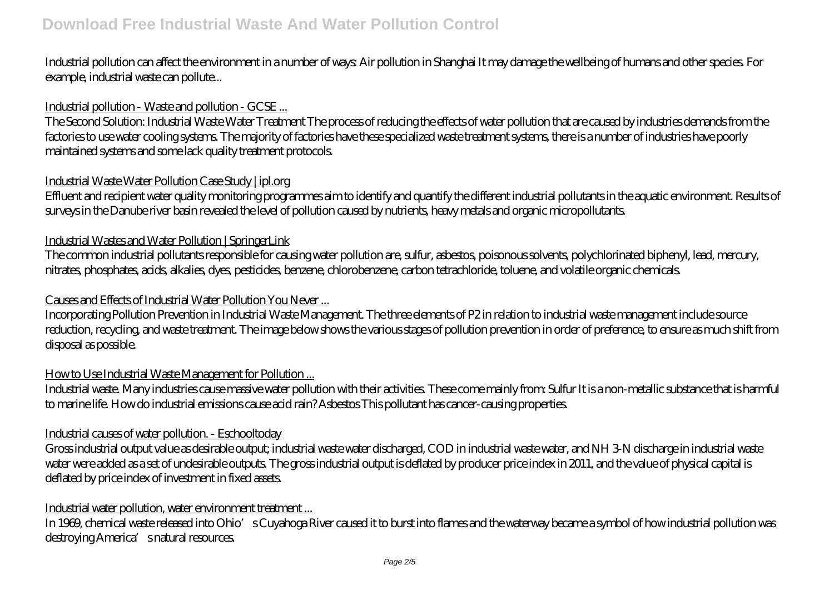Industrial pollution can affect the environment in a number of ways: Air pollution in Shanghai It may damage the wellbeing of humans and other species. For example, industrial waste can pollute...

# Industrial pollution - Waste and pollution - GCSE ...

The Second Solution: Industrial Waste Water Treatment The process of reducing the effects of water pollution that are caused by industries demands from the factories to use water cooling systems. The majority of factories have these specialized waste treatment systems, there is a number of industries have poorly maintained systems and some lack quality treatment protocols.

# Industrial Waste Water Pollution Case Study | ipl.org

Effluent and recipient water quality monitoring programmes aim to identify and quantify the different industrial pollutants in the aquatic environment. Results of surveys in the Danube river basin revealed the level of pollution caused by nutrients, heavy metals and organic micropollutants.

## Industrial Wastes and Water Pollution | SpringerLink

The common industrial pollutants responsible for causing water pollution are, sulfur, asbestos, poisonous solvents, polychlorinated biphenyl, lead, mercury, nitrates, phosphates, acids, alkalies, dyes, pesticides, benzene, chlorobenzene, carbon tetrachloride, toluene, and volatile organic chemicals.

# Causes and Effects of Industrial Water Pollution You Never ...

Incorporating Pollution Prevention in Industrial Waste Management. The three elements of P2 in relation to industrial waste management include source reduction, recycling, and waste treatment. The image below shows the various stages of pollution prevention in order of preference, to ensure as much shift from disposal as possible.

# How to Use Industrial Waste Management for Pollution ...

Industrial waste. Many industries cause massive water pollution with their activities. These come mainly from: Sulfur It is a non-metallic substance that is harmful to marine life. How do industrial emissions cause acid rain? Asbestos This pollutant has cancer-causing properties.

#### Industrial causes of water pollution. - Eschooltoday

Gross industrial output value as desirable output; industrial waste water discharged, COD in industrial waste water, and NH 3-N discharge in industrial waste water were added as a set of undesirable outputs. The gross industrial output is deflated by producer price index in 2011, and the value of physical capital is deflated by price index of investment in fixed assets.

#### Industrial water pollution, water environment treatment ...

In 1969, chemical waste released into Ohio's Cuyahoga River caused it to burst into flames and the waterway became a symbol of how industrial pollution was destroying America's natural resources.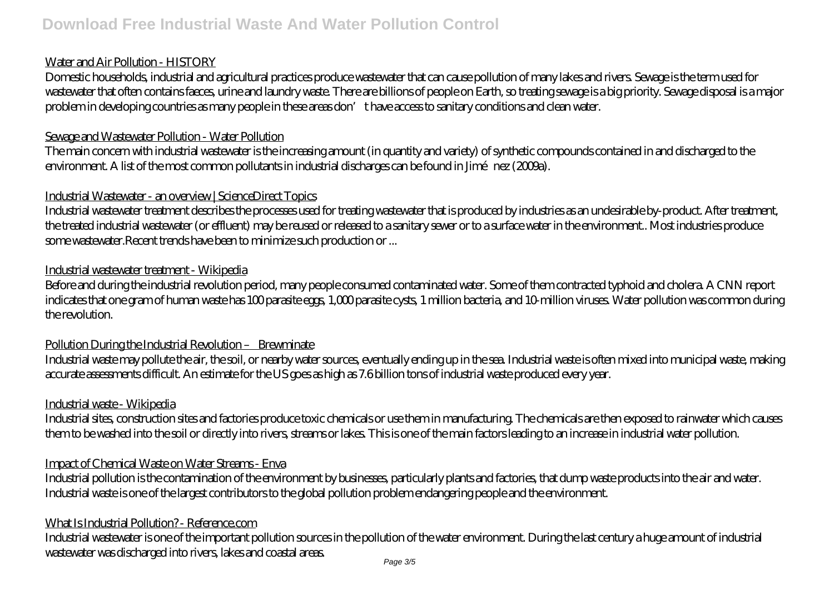#### Water and Air Pollution - HISTORY

Domestic households, industrial and agricultural practices produce wastewater that can cause pollution of many lakes and rivers. Sewage is the term used for wastewater that often contains faeces, urine and laundry waste. There are billions of people on Earth, so treating sewage is a big priority. Sewage disposal is a major problem in developing countries as many people in these areas don't have access to sanitary conditions and clean water.

## Sewage and Wastewater Pollution - Water Pollution

The main concern with industrial wastewater is the increasing amount (in quantity and variety) of synthetic compounds contained in and discharged to the environment. A list of the most common pollutants in industrial discharges can be found in Jiménez (2009a).

# Industrial Wastewater - an overview | ScienceDirect Topics

Industrial wastewater treatment describes the processes used for treating wastewater that is produced by industries as an undesirable by-product. After treatment, the treated industrial wastewater (or effluent) may be reused or released to a sanitary sewer or to a surface water in the environment.. Most industries produce some wastewater.Recent trends have been to minimize such production or ...

# Industrial wastewater treatment - Wikipedia

Before and during the industrial revolution period, many people consumed contaminated water. Some of them contracted typhoid and cholera. A CNN report indicates that one gram of human waste has 100 parasite eggs, 1,000 parasite cysts, 1 million bacteria, and 10-million viruses. Water pollution was common during the revolution.

# Pollution During the Industrial Revolution – Brewminate

Industrial waste may pollute the air, the soil, or nearby water sources, eventually ending up in the sea. Industrial waste is often mixed into municipal waste, making accurate assessments difficult. An estimate for the US goes as high as 7.6 billion tons of industrial waste produced every year.

# Industrial waste - Wikipedia

Industrial sites, construction sites and factories produce toxic chemicals or use them in manufacturing. The chemicals are then exposed to rainwater which causes them to be washed into the soil or directly into rivers, streams or lakes. This is one of the main factors leading to an increase in industrial water pollution.

# Impact of Chemical Waste on Water Streams - Enva

Industrial pollution is the contamination of the environment by businesses, particularly plants and factories, that dump waste products into the air and water. Industrial waste is one of the largest contributors to the global pollution problem endangering people and the environment.

# What Is Industrial Pollution? - Reference.com

Industrial wastewater is one of the important pollution sources in the pollution of the water environment. During the last century a huge amount of industrial wastewater was discharged into rivers, lakes and coastal areas.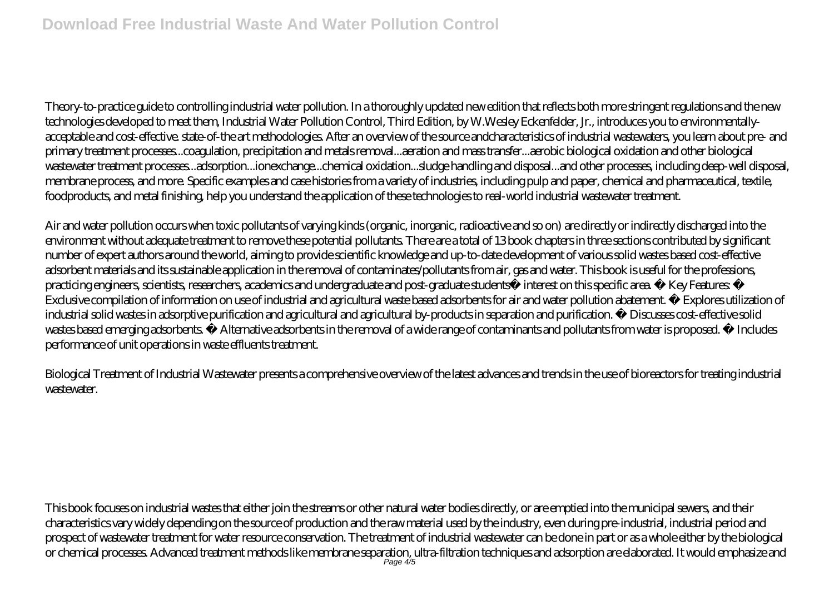Theory-to-practice guide to controlling industrial water pollution. In a thoroughly updated new edition that reflects both more stringent regulations and the new technologies developed to meet them, Industrial Water Pollution Control, Third Edition, by W.Wesley Eckenfelder, Jr., introduces you to environmentallyacceptable and cost-effective. state-of-the art methodologies. After an overview of the source andcharacteristics of industrial wastewaters, you learn about pre- and primary treatment processes...coagulation, precipitation and metals removal...aeration and mass transfer...aerobic biological oxidation and other biological wastewater treatment processes...adsorption...ionexchange...chemical oxidation...sludge handling and disposal...and other processes, including deep-well disposal, membrane process, and more. Specific examples and case histories from a variety of industries, including pulp and paper, chemical and pharmaceutical, textile, foodproducts, and metal finishing, help you understand the application of these technologies to real-world industrial wastewater treatment.

Air and water pollution occurs when toxic pollutants of varying kinds (organic, inorganic, radioactive and so on) are directly or indirectly discharged into the environment without adequate treatment to remove these potential pollutants. There are a total of 13 book chapters in three sections contributed by significant number of expert authors around the world, aiming to provide scientific knowledge and up-to-date development of various solid wastes based cost-effective adsorbent materials and its sustainable application in the removal of contaminates/pollutants from air, gas and water. This book is useful for the professions, practicing engineers, scientists, researchers, academics and undergraduate and post-graduate students interest on this specific area. Key Features: Exclusive compilation of information on use of industrial and agricultural waste based adsorbents for air and water pollution abatement. Explores utilization of industrial solid wastes in adsorptive purification and agricultural and agricultural by-products in separation and purification. Discusses cost-effective solid wastes based emerging adsorbents. Alternative adsorbents in the removal of a wide range of contaminants and pollutants from water is proposed. Includes performance of unit operations in waste effluents treatment.

Biological Treatment of Industrial Wastewater presents a comprehensive overview of the latest advances and trends in the use of bioreactors for treating industrial wastewater.

This book focuses on industrial wastes that either join the streams or other natural water bodies directly, or are emptied into the municipal sewers, and their characteristics vary widely depending on the source of production and the raw material used by the industry, even during pre-industrial, industrial period and prospect of wastewater treatment for water resource conservation. The treatment of industrial wastewater can be done in part or as a whole either by the biological or chemical processes. Advanced treatment methods like membrane separation, ultra-filtration techniques and adsorption are elaborated. It would emphasize and Page 4/5